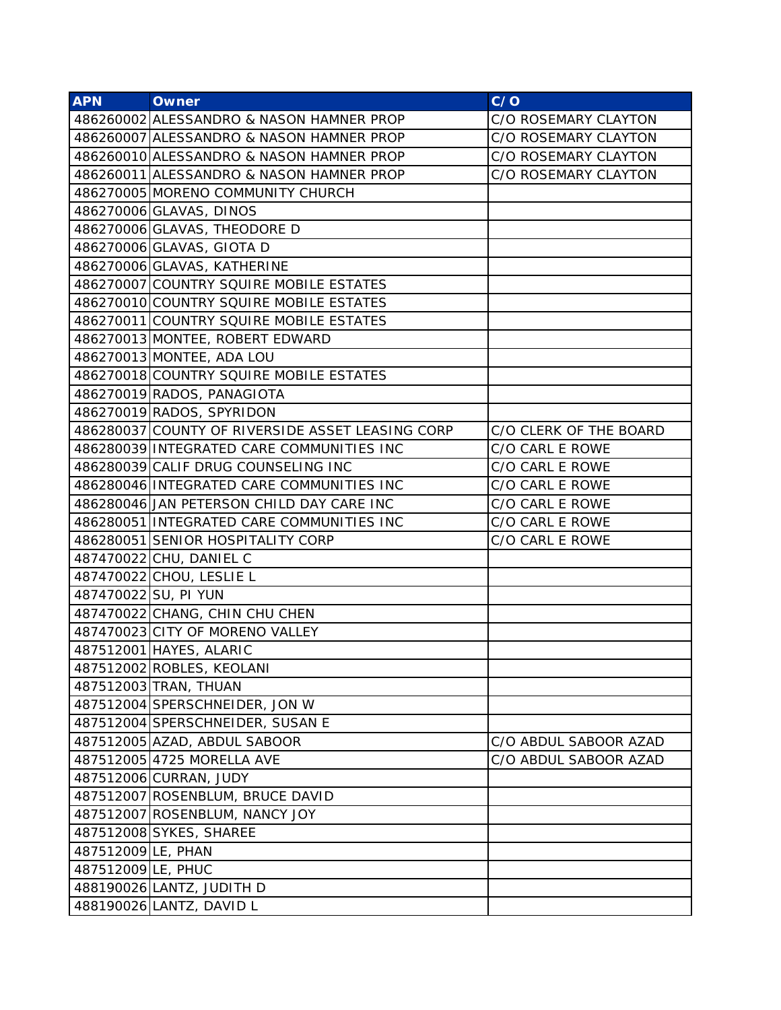| <b>APN</b>         | <b>Owner</b>                                     | C/O                    |
|--------------------|--------------------------------------------------|------------------------|
|                    | 486260002 ALESSANDRO & NASON HAMNER PROP         | C/O ROSEMARY CLAYTON   |
|                    | 486260007 ALESSANDRO & NASON HAMNER PROP         | C/O ROSEMARY CLAYTON   |
|                    | 486260010 ALESSANDRO & NASON HAMNER PROP         | C/O ROSEMARY CLAYTON   |
|                    | 486260011 ALESSANDRO & NASON HAMNER PROP         | C/O ROSEMARY CLAYTON   |
|                    | 486270005 MORENO COMMUNITY CHURCH                |                        |
|                    | 486270006 GLAVAS, DINOS                          |                        |
|                    | 486270006 GLAVAS, THEODORE D                     |                        |
|                    | 486270006 GLAVAS, GIOTA D                        |                        |
|                    | 486270006 GLAVAS, KATHERINE                      |                        |
|                    | 486270007 COUNTRY SQUIRE MOBILE ESTATES          |                        |
|                    | 486270010 COUNTRY SQUIRE MOBILE ESTATES          |                        |
|                    | 486270011 COUNTRY SQUIRE MOBILE ESTATES          |                        |
|                    | 486270013 MONTEE, ROBERT EDWARD                  |                        |
|                    | 486270013 MONTEE, ADA LOU                        |                        |
|                    | 486270018 COUNTRY SQUIRE MOBILE ESTATES          |                        |
|                    | 486270019 RADOS, PANAGIOTA                       |                        |
|                    | 486270019 RADOS, SPYRIDON                        |                        |
|                    | 486280037 COUNTY OF RIVERSIDE ASSET LEASING CORP | C/O CLERK OF THE BOARD |
|                    | 486280039 INTEGRATED CARE COMMUNITIES INC        | C/O CARL E ROWE        |
|                    | 486280039 CALIF DRUG COUNSELING INC              | C/O CARL E ROWE        |
|                    | 486280046 INTEGRATED CARE COMMUNITIES INC        | C/O CARL E ROWE        |
|                    | 486280046 JAN PETERSON CHILD DAY CARE INC        | C/O CARL E ROWE        |
|                    | 486280051 INTEGRATED CARE COMMUNITIES INC        | C/O CARL E ROWE        |
|                    | 486280051 SENIOR HOSPITALITY CORP                | C/O CARL E ROWE        |
|                    | 487470022 CHU, DANIEL C                          |                        |
|                    | 487470022 CHOU, LESLIE L                         |                        |
|                    | 487470022 SU, PI YUN                             |                        |
|                    | 487470022 CHANG, CHIN CHU CHEN                   |                        |
|                    | 487470023 CITY OF MORENO VALLEY                  |                        |
|                    | 487512001 HAYES, ALARIC                          |                        |
|                    | 487512002 ROBLES, KEOLANI                        |                        |
|                    | 487512003 TRAN, THUAN                            |                        |
|                    | 487512004 SPERSCHNEIDER, JON W                   |                        |
|                    | 487512004 SPERSCHNEIDER, SUSAN E                 |                        |
|                    | 487512005 AZAD, ABDUL SABOOR                     | C/O ABDUL SABOOR AZAD  |
|                    | 487512005 4725 MORELLA AVE                       | C/O ABDUL SABOOR AZAD  |
|                    | 487512006 CURRAN, JUDY                           |                        |
|                    | 487512007 ROSENBLUM, BRUCE DAVID                 |                        |
|                    | 487512007 ROSENBLUM, NANCY JOY                   |                        |
|                    | 487512008 SYKES, SHAREE                          |                        |
| 487512009 LE, PHAN |                                                  |                        |
| 487512009 LE, PHUC |                                                  |                        |
|                    | 488190026 LANTZ, JUDITH D                        |                        |
|                    | 488190026 LANTZ, DAVID L                         |                        |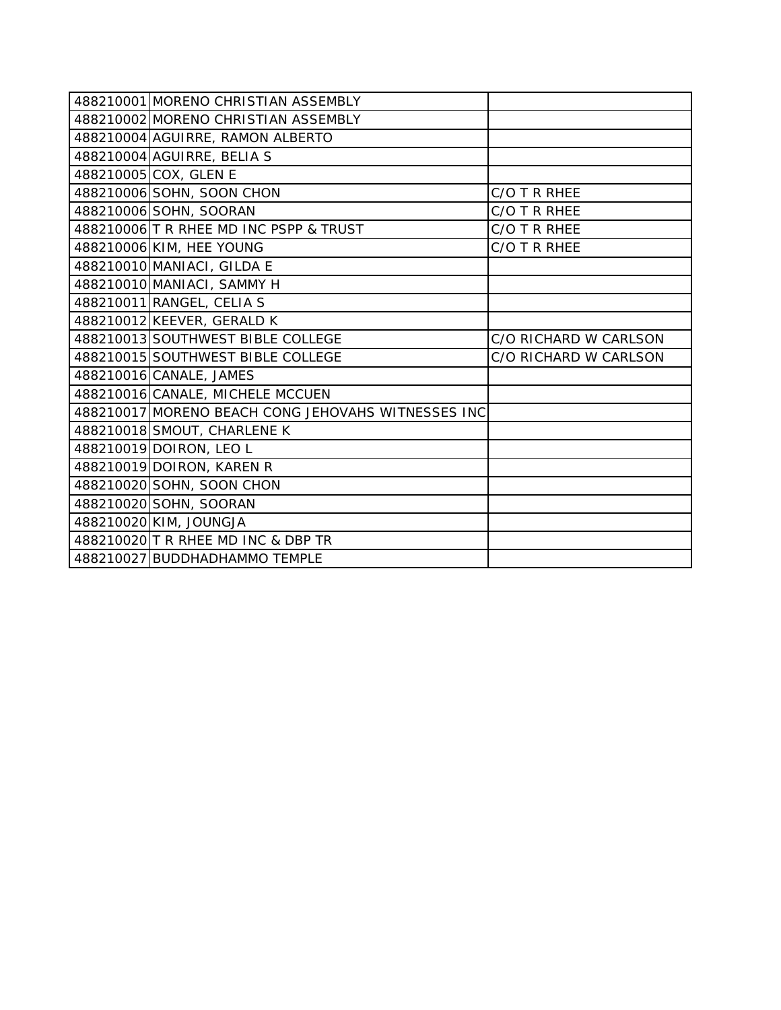| 488210001 MORENO CHRISTIAN ASSEMBLY                |                       |
|----------------------------------------------------|-----------------------|
| 488210002 MORENO CHRISTIAN ASSEMBLY                |                       |
| 488210004 AGUIRRE, RAMON ALBERTO                   |                       |
| 488210004 AGUIRRE, BELIA S                         |                       |
| 488210005 COX, GLEN E                              |                       |
| 488210006 SOHN, SOON CHON                          | C/O T R RHEE          |
| 488210006 SOHN, SOORAN                             | C/O T R RHEE          |
| 488210006 T R RHEE MD INC PSPP & TRUST             | C/O T R RHEE          |
| 488210006 KIM, HEE YOUNG                           | C/O T R RHEE          |
| 488210010 MANIACI, GILDA E                         |                       |
| 488210010 MANIACI, SAMMY H                         |                       |
| 488210011 RANGEL, CELIA S                          |                       |
| 488210012 KEEVER, GERALD K                         |                       |
| 488210013 SOUTHWEST BIBLE COLLEGE                  | C/O RICHARD W CARLSON |
| 488210015 SOUTHWEST BIBLE COLLEGE                  | C/O RICHARD W CARLSON |
| 488210016 CANALE, JAMES                            |                       |
| 488210016 CANALE, MICHELE MCCUEN                   |                       |
| 488210017 MORENO BEACH CONG JEHOVAHS WITNESSES INC |                       |
| 488210018 SMOUT, CHARLENE K                        |                       |
| 488210019 DOIRON, LEO L                            |                       |
| 488210019 DOIRON, KAREN R                          |                       |
| 488210020 SOHN, SOON CHON                          |                       |
| 488210020 SOHN, SOORAN                             |                       |
| 488210020 KIM, JOUNGJA                             |                       |
| 488210020 T R RHEE MD INC & DBP TR                 |                       |
| 488210027 BUDDHADHAMMO TEMPLE                      |                       |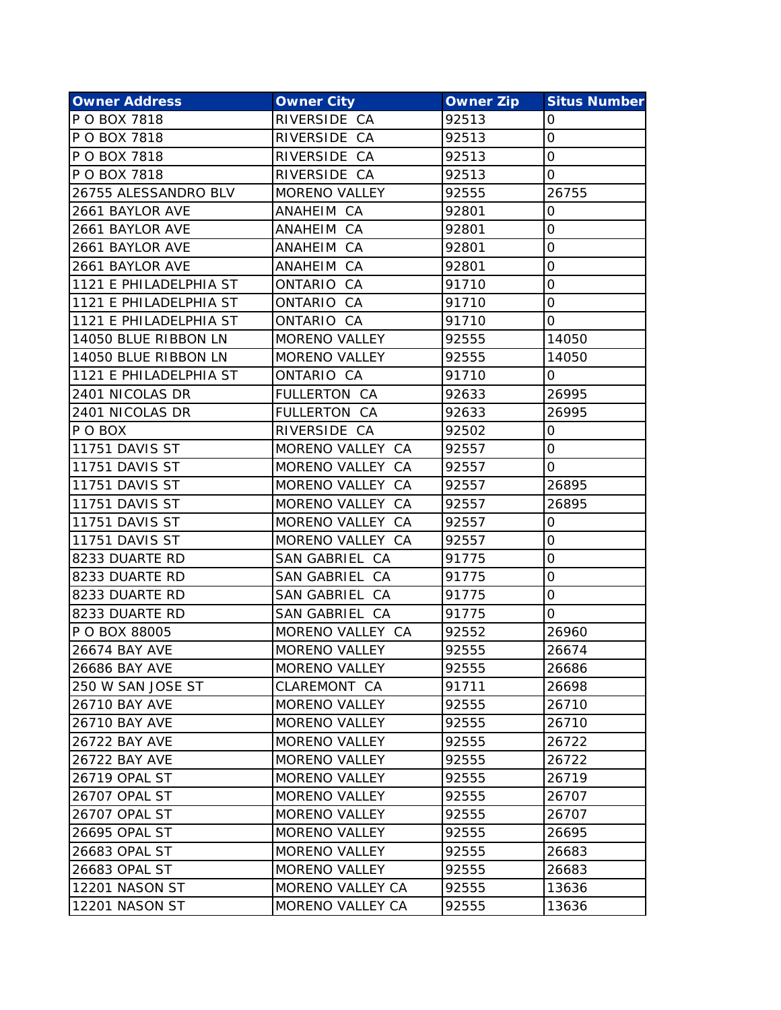| <b>Owner Address</b>   | <b>Owner City</b>    | <b>Owner Zip</b> | <b>Situs Number</b> |
|------------------------|----------------------|------------------|---------------------|
| P O BOX 7818           | RIVERSIDE CA         | 92513            | 0                   |
| P O BOX 7818           | RIVERSIDE CA         | 92513            | 0                   |
| P O BOX 7818           | RIVERSIDE CA         | 92513            | 0                   |
| P O BOX 7818           | RIVERSIDE CA         | 92513            | 0                   |
| 26755 ALESSANDRO BLV   | <b>MORENO VALLEY</b> | 92555            | 26755               |
| 2661 BAYLOR AVE        | ANAHEIM CA           | 92801            | 0                   |
| 2661 BAYLOR AVE        | ANAHEIM CA           | 92801            | 0                   |
| 2661 BAYLOR AVE        | ANAHEIM CA           | 92801            | 0                   |
| 2661 BAYLOR AVE        | ANAHEIM CA           | 92801            | 0                   |
| 1121 E PHILADELPHIA ST | ONTARIO CA           | 91710            | 0                   |
| 1121 E PHILADELPHIA ST | ONTARIO CA           | 91710            | 0                   |
| 1121 E PHILADELPHIA ST | ONTARIO CA           | 91710            | 0                   |
| 14050 BLUE RIBBON LN   | <b>MORENO VALLEY</b> | 92555            | 14050               |
| 14050 BLUE RIBBON LN   | <b>MORENO VALLEY</b> | 92555            | 14050               |
| 1121 E PHILADELPHIA ST | ONTARIO CA           | 91710            | 0                   |
| 2401 NICOLAS DR        | <b>FULLERTON CA</b>  | 92633            | 26995               |
| 2401 NICOLAS DR        | <b>FULLERTON CA</b>  | 92633            | 26995               |
| P O BOX                | RIVERSIDE CA         | 92502            | 0                   |
| <b>11751 DAVIS ST</b>  | MORENO VALLEY CA     | 92557            | 0                   |
| <b>11751 DAVIS ST</b>  | MORENO VALLEY CA     | 92557            | 0                   |
| <b>11751 DAVIS ST</b>  | MORENO VALLEY CA     | 92557            | 26895               |
| <b>11751 DAVIS ST</b>  | MORENO VALLEY CA     | 92557            | 26895               |
| <b>11751 DAVIS ST</b>  | MORENO VALLEY CA     | 92557            | 0                   |
| <b>11751 DAVIS ST</b>  | MORENO VALLEY CA     | 92557            | 0                   |
| 8233 DUARTE RD         | SAN GABRIEL CA       | 91775            | 0                   |
| 8233 DUARTE RD         | SAN GABRIEL CA       | 91775            | 0                   |
| 8233 DUARTE RD         | SAN GABRIEL CA       | 91775            | 0                   |
| 8233 DUARTE RD         | SAN GABRIEL CA       | 91775            | 0                   |
| P O BOX 88005          | MORENO VALLEY CA     | 92552            | 26960               |
| <b>26674 BAY AVE</b>   | <b>MORENO VALLEY</b> | 92555            | 26674               |
| 26686 BAY AVE          | <b>MORENO VALLEY</b> | 92555            | 26686               |
| 250 W SAN JOSE ST      | CLAREMONT CA         | 91711            | 26698               |
| <b>26710 BAY AVE</b>   | <b>MORENO VALLEY</b> | 92555            | 26710               |
| 26710 BAY AVE          | <b>MORENO VALLEY</b> | 92555            | 26710               |
| <b>26722 BAY AVE</b>   | <b>MORENO VALLEY</b> | 92555            | 26722               |
| <b>26722 BAY AVE</b>   | <b>MORENO VALLEY</b> | 92555            | 26722               |
| 26719 OPAL ST          | <b>MORENO VALLEY</b> | 92555            | 26719               |
| 26707 OPAL ST          | <b>MORENO VALLEY</b> | 92555            | 26707               |
| 26707 OPAL ST          | <b>MORENO VALLEY</b> | 92555            | 26707               |
| 26695 OPAL ST          | <b>MORENO VALLEY</b> | 92555            | 26695               |
| 26683 OPAL ST          | MORENO VALLEY        | 92555            | 26683               |
| 26683 OPAL ST          | <b>MORENO VALLEY</b> | 92555            | 26683               |
| <b>12201 NASON ST</b>  | MORENO VALLEY CA     | 92555            | 13636               |
| <b>12201 NASON ST</b>  | MORENO VALLEY CA     | 92555            | 13636               |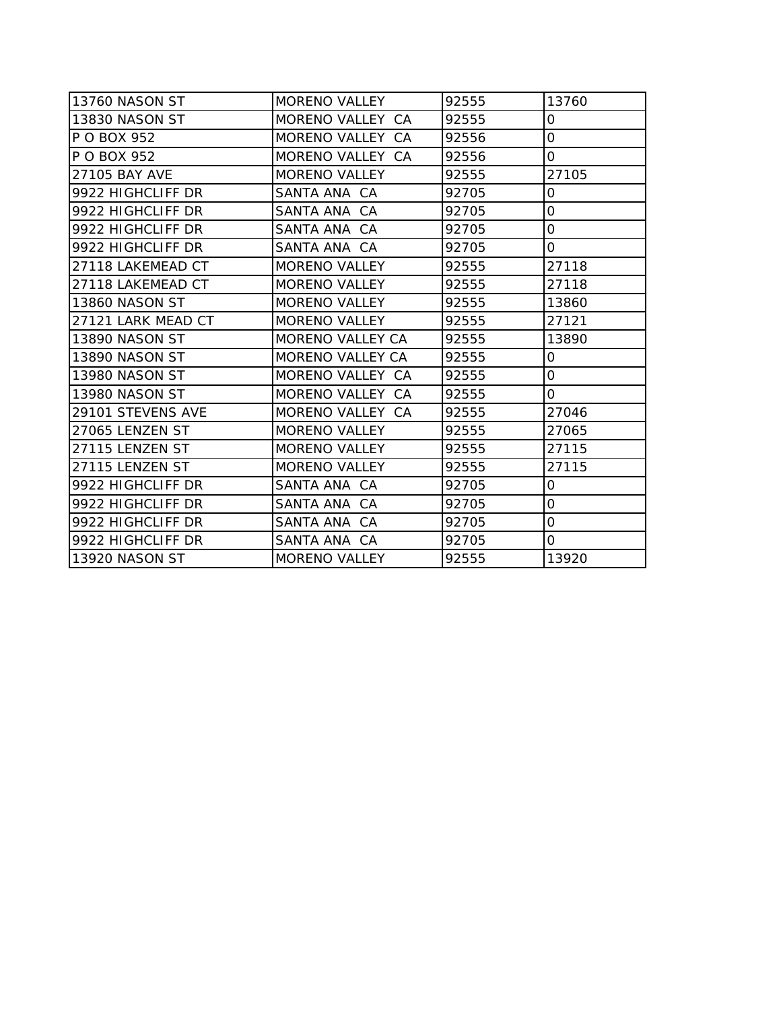| 13760 NASON ST        | <b>MORENO VALLEY</b>    | 92555 | 13760               |
|-----------------------|-------------------------|-------|---------------------|
| 13830 NASON ST        | MORENO VALLEY CA        | 92555 | 0                   |
| P O BOX 952           | MORENO VALLEY CA        | 92556 | $\mathsf O$         |
| P O BOX 952           | MORENO VALLEY CA        | 92556 | 0                   |
| 27105 BAY AVE         | <b>MORENO VALLEY</b>    | 92555 | 27105               |
| 9922 HIGHCLIFF DR     | SANTA ANA CA            | 92705 | 0                   |
| 9922 HIGHCLIFF DR     | SANTA ANA CA            | 92705 | 0                   |
| 9922 HIGHCLIFF DR     | SANTA ANA CA            | 92705 | $\mathbf 0$         |
| 9922 HIGHCLIFF DR     | SANTA ANA CA            | 92705 | 0                   |
| 27118 LAKEMEAD CT     | <b>MORENO VALLEY</b>    | 92555 | 27118               |
| 27118 LAKEMEAD CT     | <b>MORENO VALLEY</b>    | 92555 | 27118               |
| <b>13860 NASON ST</b> | <b>MORENO VALLEY</b>    | 92555 | 13860               |
| 27121 LARK MEAD CT    | <b>MORENO VALLEY</b>    | 92555 | 27121               |
| <b>13890 NASON ST</b> | <b>MORENO VALLEY CA</b> | 92555 | 13890               |
| 13890 NASON ST        | <b>MORENO VALLEY CA</b> | 92555 | 0                   |
| <b>13980 NASON ST</b> | MORENO VALLEY CA        | 92555 | 0                   |
| 13980 NASON ST        | MORENO VALLEY CA        | 92555 | 0                   |
| 29101 STEVENS AVE     | MORENO VALLEY CA        | 92555 | 27046               |
| 27065 LENZEN ST       | <b>MORENO VALLEY</b>    | 92555 | 27065               |
| 27115 LENZEN ST       | <b>MORENO VALLEY</b>    | 92555 | 27115               |
| 27115 LENZEN ST       | <b>MORENO VALLEY</b>    | 92555 | 27115               |
| 9922 HIGHCLIFF DR     | SANTA ANA CA            | 92705 | 0                   |
| 9922 HIGHCLIFF DR     | SANTA ANA CA            | 92705 | 0                   |
| 9922 HIGHCLIFF DR     | SANTA ANA CA            | 92705 | $\mathsf{O}\xspace$ |
| 9922 HIGHCLIFF DR     | SANTA ANA CA            | 92705 | 0                   |
| 13920 NASON ST        | <b>MORENO VALLEY</b>    | 92555 | 13920               |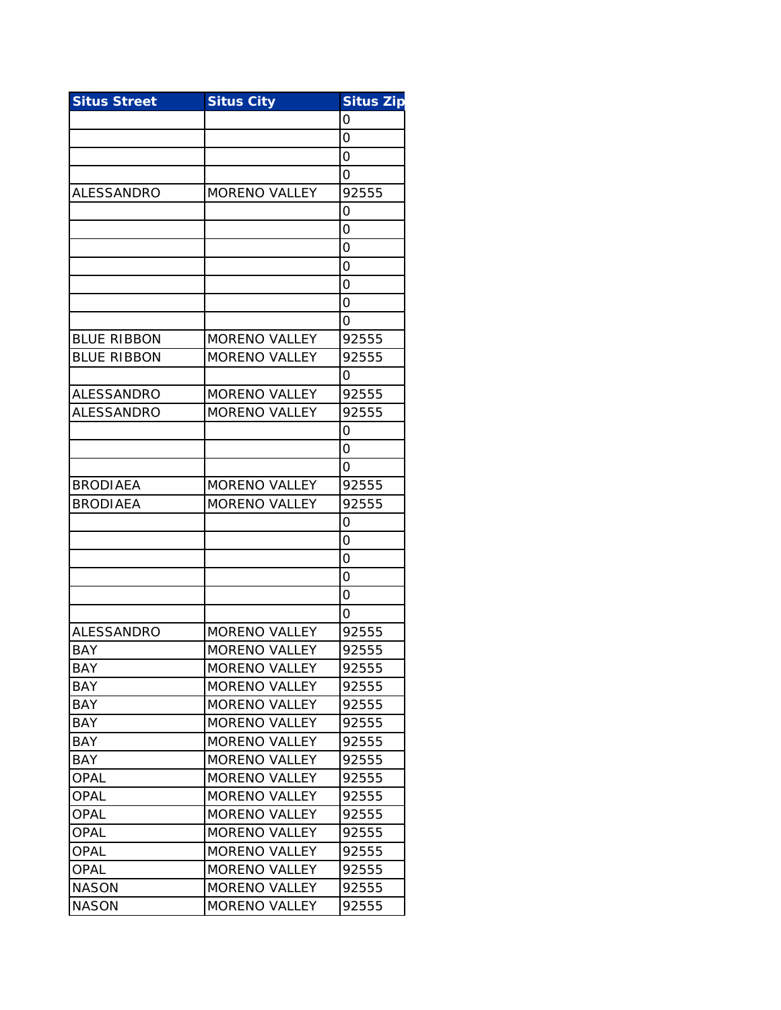| <b>Situs Street</b> | <b>Situs City</b>    | <b>Situs Zip</b> |
|---------------------|----------------------|------------------|
|                     |                      | Ο                |
|                     |                      | 0                |
|                     |                      | 0                |
|                     |                      | Ο                |
| ALESSANDRO          | <b>MORENO VALLEY</b> | 92555            |
|                     |                      | 0                |
|                     |                      | 0                |
|                     |                      | 0                |
|                     |                      | Ο                |
|                     |                      | 0                |
|                     |                      | 0                |
|                     |                      | Ο                |
| <b>BLUE RIBBON</b>  | <b>MORENO VALLEY</b> | 92555            |
| <b>BLUE RIBBON</b>  | <b>MORENO VALLEY</b> | 92555            |
|                     |                      | Ω                |
| <b>ALESSANDRO</b>   | <b>MORENO VALLEY</b> | 92555            |
| <b>ALESSANDRO</b>   | <b>MORENO VALLEY</b> | 92555            |
|                     |                      | Ο                |
|                     |                      | 0                |
|                     |                      | Ο                |
| <b>BRODIAEA</b>     | <b>MORENO VALLEY</b> | 92555            |
| <b>BRODIAEA</b>     | <b>MORENO VALLEY</b> | 92555            |
|                     |                      | 0                |
|                     |                      | 0                |
|                     |                      | Ο                |
|                     |                      | 0                |
|                     |                      | Ο                |
|                     |                      | Ο                |
| ALESSANDRO          | <b>MORENO VALLEY</b> | 92555            |
| <b>BAY</b>          | <b>MORENO VALLEY</b> | 92555            |
| BAY                 | <b>MORENO VALLEY</b> | 92555            |
| <b>BAY</b>          | MORENO VALLEY        | 92555            |
| BAY                 | <b>MORENO VALLEY</b> | 92555            |
| BAY                 | <b>MORENO VALLEY</b> | 92555            |
| <b>BAY</b>          | <b>MORENO VALLEY</b> | 92555            |
| BAY                 | <b>MORENO VALLEY</b> | 92555            |
| OPAL                | <b>MORENO VALLEY</b> | 92555            |
| <b>OPAL</b>         | <b>MORENO VALLEY</b> | 92555            |
| <b>OPAL</b>         | <b>MORENO VALLEY</b> | 92555            |
| OPAL                | <b>MORENO VALLEY</b> | 92555            |
| <b>OPAL</b>         | <b>MORENO VALLEY</b> | 92555            |
| <b>OPAL</b>         | <b>MORENO VALLEY</b> | 92555            |
| <b>NASON</b>        | <b>MORENO VALLEY</b> | 92555            |
| <b>NASON</b>        | <b>MORENO VALLEY</b> | 92555            |